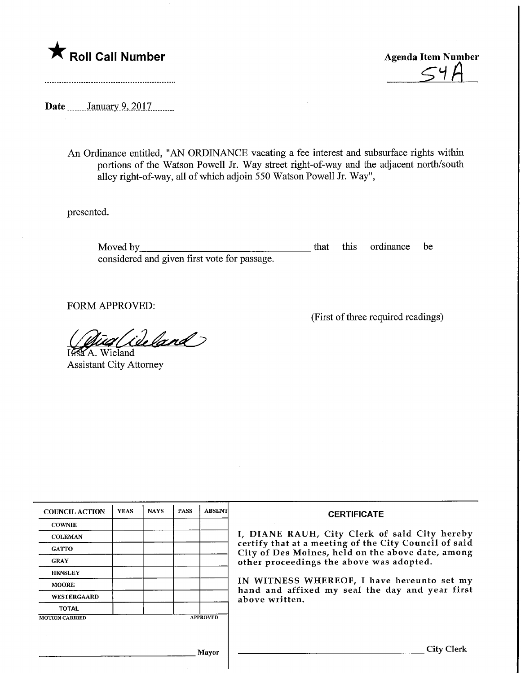

Agenda Item Number

Date ........January 9, 2017.........

An Ordinance entitled, "AN ORDINANCE vacating a fee interest and subsurface rights within portions of the Watson Powell Jr. Way street right-of-way and the adjacent north/south alley right-of-way, all of which adjoin 550 Watson Powell Jr. Way",

presented.

Moved by **that this ordinance** be considered and given first vote for passage.

FORM APPROVED:

(First of three required readings)

ideland IGSTA. Wieland

Assistant City Attorney

| <b>COUNCIL ACTION</b> | <b>YEAS</b> | <b>NAYS</b> | <b>PASS</b> | <b>ABSENT</b>   | <b>CERTIFICATE</b>                                                                                                                                                                                      |  |  |
|-----------------------|-------------|-------------|-------------|-----------------|---------------------------------------------------------------------------------------------------------------------------------------------------------------------------------------------------------|--|--|
| <b>COWNIE</b>         |             |             |             |                 |                                                                                                                                                                                                         |  |  |
| <b>COLEMAN</b>        |             |             |             |                 | I, DIANE RAUH, City Clerk of said City hereby<br>certify that at a meeting of the City Council of said<br>City of Des Moines, held on the above date, among<br>other proceedings the above was adopted. |  |  |
| <b>GATTO</b>          |             |             |             |                 |                                                                                                                                                                                                         |  |  |
| <b>GRAY</b>           |             |             |             |                 |                                                                                                                                                                                                         |  |  |
| <b>HENSLEY</b>        |             |             |             |                 |                                                                                                                                                                                                         |  |  |
| <b>MOORE</b>          |             |             |             |                 | IN WITNESS WHEREOF, I have hereunto set my<br>hand and affixed my seal the day and year first<br>above written.                                                                                         |  |  |
| WESTERGAARD           |             |             |             |                 |                                                                                                                                                                                                         |  |  |
| <b>TOTAL</b>          |             |             |             |                 |                                                                                                                                                                                                         |  |  |
| <b>MOTION CARRIED</b> |             |             |             | <b>APPROVED</b> |                                                                                                                                                                                                         |  |  |
|                       |             |             |             |                 |                                                                                                                                                                                                         |  |  |
|                       |             |             |             | Mayor           | <b>City Clerk</b>                                                                                                                                                                                       |  |  |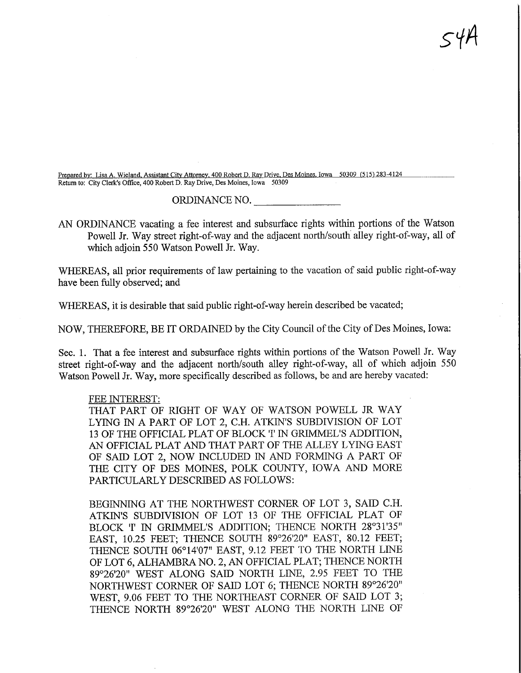Prepared by: Lisa A. Wieland, Assistant City Attorney. 400 Robert D. Ray Drive. Des Moines. Iowa 50309 (515) 283-4124 Return to: City Clerk's Office, 400 Robert D. Ray Drive, Des Moines, Iowa 50309

ORDINANCE NO.

 $54A$ 

AN ORDINANCE vacating a fee interest and subsurface rights within portions of the Watson Powell Jr. Way street right-of-way and the adjacent north/south alley right-of-way, all of which adjoin 550 Watson Powell Jr. Way.

WHEREAS, all prior requirements of law pertaining to the vacation of said public right-of-way have been fully observed; and

WHEREAS, it is desirable that said public right-of-way herein described be vacated;

NOW, THEREFORE, BE IT ORDAINED by the City Council of the City of Des Moines, Iowa:

Sec. 1. That a fee interest and subsurface rights within portions of the Watson Powell Jr. Way street right-of-way and the adjacent north/south alley right-of-way, all of which adjoin 550 Watson Powell Jr. Way, more specifically described as follows, be and are hereby vacated:

## FEE INTEREST:

THAT PART OF RIGHT OF WAY OF WATSON POWELL JR WAY LYING IN A PART OF LOT 2, C.H. ATKIN'S SUBDIVISION OF LOT 13 OF THE OFFICIAL PLAT OF BLOCK 'I' IN GRIMMEL'S ADDITION, AN OFFICIAL PLAT AND THAT PART OF THE ALLEY LYING EAST OF SAID LOT 2, NOW INCLUDED IN AND FORMING A PART OF THE CITY OF DES MOINES, POLK COUNTY, IOWA AND MORE PARTICULARLY DESCRIBED AS FOLLOWS:

BEGINNING AT THE NORTHWEST CORNER OF LOT 3, SAID C.H. ATKIN'S SUBDIVISION OF LOT 13 OF THE OFFICIAL PLAT OF BLOCK 'I' IN GRIMMEL'S ADDITION; THENCE NORTH 28°31'35" EAST, 10.25 FEET; THENCE SOUTH 89°26'20" EAST, 80.12 FEET; THENCE SOUTH 06°14'07" EAST, 9.12 FEET TO THE NORTH LINE OF LOT 6, ALHAMBRA NO. 2, AN OFFICIAL PLAT; THENCE NORTH 89°26'20" WEST ALONG SAID NORTH LINE, 2.95 FEET TO THE NORTHWEST CORNER OF SAID LOT 6; THENCE NORTH 89°26'20" WEST, 9.06 FEET TO THE NORTHEAST CORNER OF SAID LOT 3; THENCE NORTH 89°26'20" WEST ALONG THE NORTH LINE OF